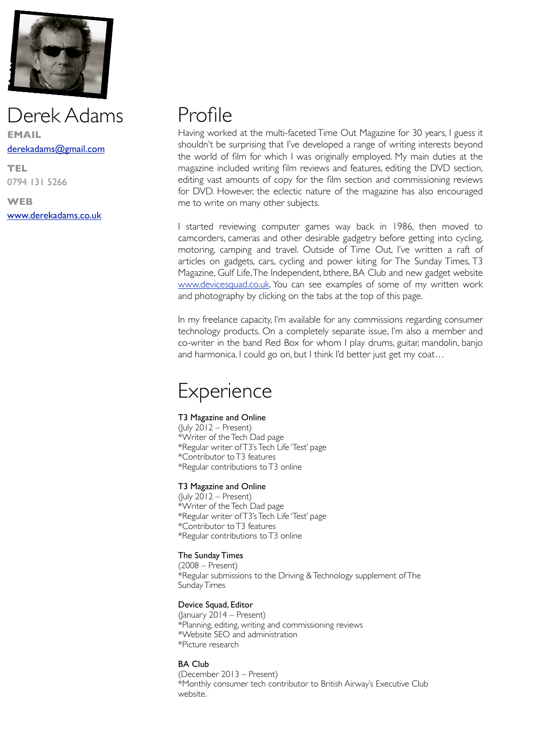

# Derek Adams **EMAIL** [derekadams@gmail.com](mailto:derekadams@gmail.com)

**TEL** 0794 131 5266

**WEB** [www.derekadams.co.uk](http://www.derekadams.co.uk)

# Profile

Having worked at the multi-faceted Time Out Magazine for 30 years, I guess it shouldn't be surprising that I've developed a range of writing interests beyond the world of film for which I was originally employed. My main duties at the magazine included writing film reviews and features, editing the DVD section, editing vast amounts of copy for the film section and commissioning reviews for DVD. However, the eclectic nature of the magazine has also encouraged me to write on many other subjects.

I started reviewing computer games way back in 1986, then moved to camcorders, cameras and other desirable gadgetry before getting into cycling, motoring, camping and travel. Outside of Time Out, I've written a raft of articles on gadgets, cars, cycling and power kiting for The Sunday Times, T3 Magazine, Gulf Life, The Independent, bthere, BA Club and new gadget website [www.devicesquad.co.uk](http://www.devicesquad.co.uk). You can see examples of some of my written work and photography by clicking on the tabs at the top of this page.

In my freelance capacity, I'm available for any commissions regarding consumer technology products. On a completely separate issue, I'm also a member and co-writer in the band Red Box for whom I play drums, guitar, mandolin, banjo and harmonica. I could go on, but I think I'd better just get my coat…

# **Experience**

# T3 Magazine and Online

 $(luly 2012 - Present)$ \*Writer of the Tech Dad page \*Regular writer of T3's Tech Life 'Test' page \*Contributor to T3 features \*Regular contributions to T3 online

### T3 Magazine and Online

(July  $2012$  – Present) \*Writer of the Tech Dad page \*Regular writer of T3's Tech Life 'Test' page \*Contributor to T3 features \*Regular contributions to T3 online

# The Sunday Times

(2008 – Present) \*Regular submissions to the Driving & Technology supplement of The Sunday Times

# Device Squad, Editor

(January 2014 – Present) \*Planning, editing, writing and commissioning reviews \*Website SEO and administration \*Picture research

### BA Club

(December 2013 – Present) \*Monthly consumer tech contributor to British Airway's Executive Club website.